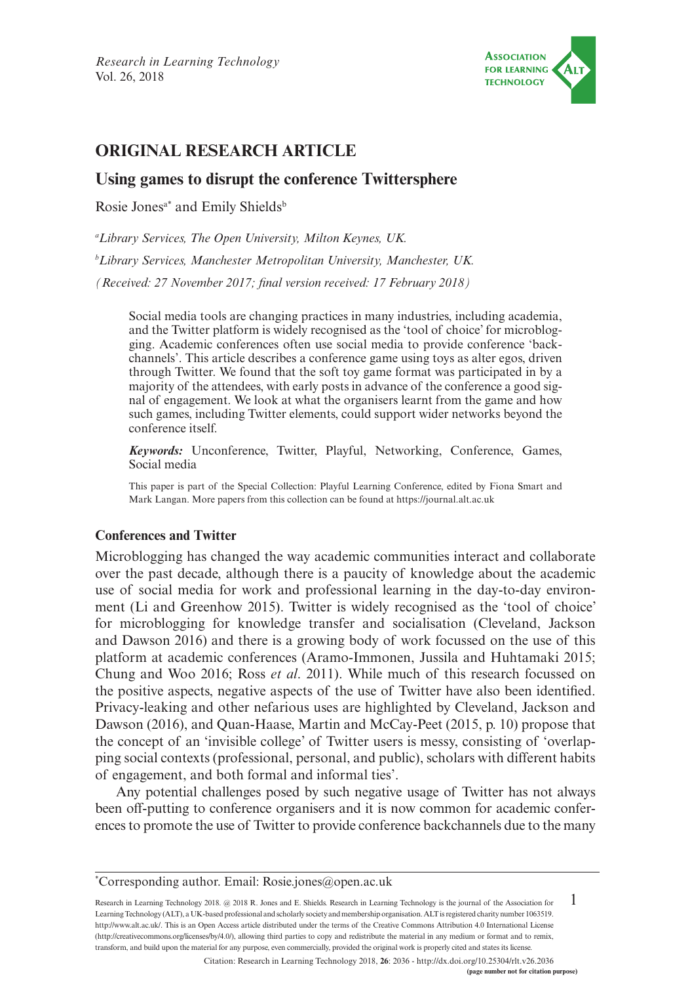

# **ORIGINAL RESEARCH ARTICLE**

## **Using games to disrupt the conference Twittersphere**

Rosie Jones<sup>a\*</sup> and Emily Shields<sup>b</sup>

*a Library Services, The Open University, Milton Keynes, UK.*

*b Library Services, Manchester Metropolitan University, Manchester, UK.*

*(Received: 27 November 2017; final version received: 17 February 2018)*

Social media tools are changing practices in many industries, including academia, and the Twitter platform is widely recognised as the 'tool of choice' for microblogging. Academic conferences often use social media to provide conference 'backchannels'. This article describes a conference game using toys as alter egos, driven through Twitter. We found that the soft toy game format was participated in by a majority of the attendees, with early posts in advance of the conference a good signal of engagement. We look at what the organisers learnt from the game and how such games, including Twitter elements, could support wider networks beyond the conference itself.

*Keywords:* Unconference, Twitter, Playful, Networking, Conference, Games, Social media

This paper is part of the Special Collection: Playful Learning Conference, edited by Fiona Smart and Mark Langan. More papers from this collection can be found at <https://journal.alt.ac.uk>

#### **Conferences and Twitter**

Microblogging has changed the way academic communities interact and collaborate over the past decade, although there is a paucity of knowledge about the academic use of social media for work and professional learning in the day-to-day environment (Li and Greenhow 2015). Twitter is widely recognised as the 'tool of choice' for microblogging for knowledge transfer and socialisation (Cleveland, Jackson and Dawson 2016) and there is a growing body of work focussed on the use of this platform at academic conferences (Aramo-Immonen, Jussila and Huhtamaki 2015; Chung and Woo 2016; Ross *et al*. 2011). While much of this research focussed on the positive aspects, negative aspects of the use of Twitter have also been identified. Privacy-leaking and other nefarious uses are highlighted by Cleveland, Jackson and Dawson (2016), and Quan-Haase, Martin and McCay-Peet (2015, p. 10) propose that the concept of an 'invisible college' of Twitter users is messy, consisting of 'overlapping social contexts (professional, personal, and public), scholars with different habits of engagement, and both formal and informal ties'.

Any potential challenges posed by such negative usage of Twitter has not always been off-putting to conference organisers and it is now common for academic conferences to promote the use of Twitter to provide conference backchannels due to the many

1 Research in Learning Technology 2018. @ 2018 R. Jones and E. Shields. Research in Learning Technology is the journal of the Association for Learning Technology (ALT), a UK-based professional and scholarly society and membership organisation. ALT is registered charity number 1063519. [http://www.alt.ac.uk/.](http://www.alt.ac.uk/) This is an Open Access article distributed under the terms of the Creative Commons Attribution 4.0 International License (<http://creativecommons.org/licenses/by/4.0/>), allowing third parties to copy and redistribute the material in any medium or format and to remix, transform, and build upon the material for any purpose, even commercially, provided the original work is properly cited and states its license.

Citation: Research in Learning Technology 2018, **26**: 2036 - <http://dx.doi.org/10.25304/rlt.v26.2036>

<sup>\*</sup> Corresponding author. Email: [Rosie.jones@open.ac.uk](mailto:Rosie.jones@open.ac.uk)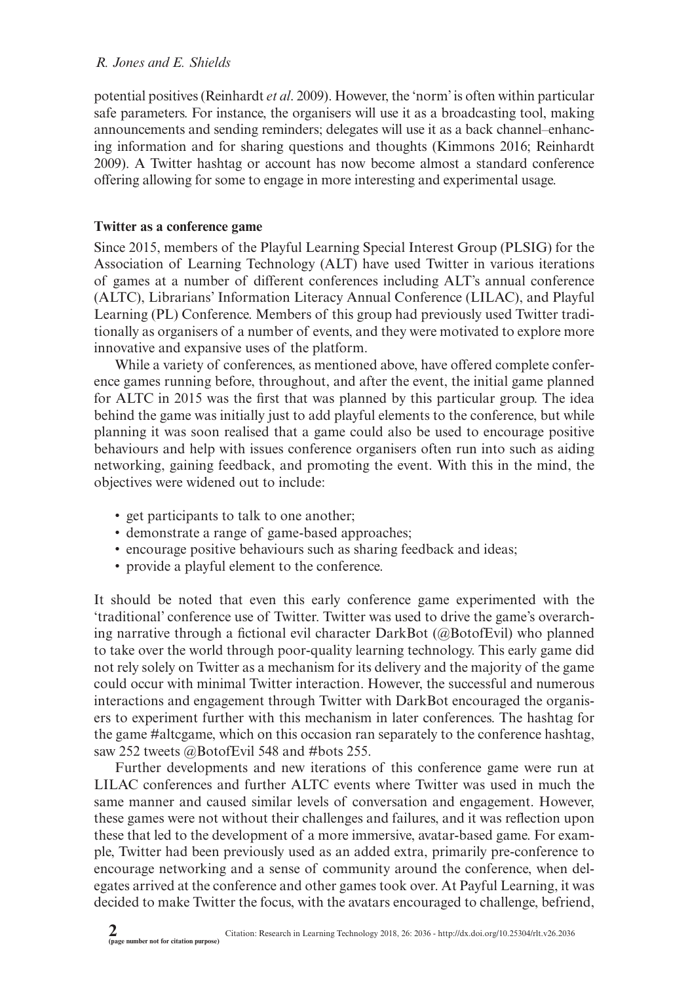potential positives (Reinhardt *et al*. 2009). However, the 'norm' is often within particular safe parameters. For instance, the organisers will use it as a broadcasting tool, making announcements and sending reminders; delegates will use it as a back channel–enhancing information and for sharing questions and thoughts (Kimmons 2016; Reinhardt 2009). A Twitter hashtag or account has now become almost a standard conference offering allowing for some to engage in more interesting and experimental usage.

## **Twitter as a conference game**

Since 2015, members of the Playful Learning Special Interest Group (PLSIG) for the Association of Learning Technology (ALT) have used Twitter in various iterations of games at a number of different conferences including ALT's annual conference (ALTC), Librarians' Information Literacy Annual Conference (LILAC), and Playful Learning (PL) Conference. Members of this group had previously used Twitter traditionally as organisers of a number of events, and they were motivated to explore more innovative and expansive uses of the platform.

While a variety of conferences, as mentioned above, have offered complete conference games running before, throughout, and after the event, the initial game planned for ALTC in 2015 was the first that was planned by this particular group. The idea behind the game was initially just to add playful elements to the conference, but while planning it was soon realised that a game could also be used to encourage positive behaviours and help with issues conference organisers often run into such as aiding networking, gaining feedback, and promoting the event. With this in the mind, the objectives were widened out to include:

- get participants to talk to one another;
- demonstrate a range of game-based approaches;
- encourage positive behaviours such as sharing feedback and ideas;
- provide a playful element to the conference.

It should be noted that even this early conference game experimented with the 'traditional' conference use of Twitter. Twitter was used to drive the game's overarching narrative through a fictional evil character DarkBot (@BotofEvil) who planned to take over the world through poor-quality learning technology. This early game did not rely solely on Twitter as a mechanism for its delivery and the majority of the game could occur with minimal Twitter interaction. However, the successful and numerous interactions and engagement through Twitter with DarkBot encouraged the organisers to experiment further with this mechanism in later conferences. The hashtag for the game #altcgame, which on this occasion ran separately to the conference hashtag, saw 252 tweets @BotofEvil 548 and #bots 255.

Further developments and new iterations of this conference game were run at LILAC conferences and further ALTC events where Twitter was used in much the same manner and caused similar levels of conversation and engagement. However, these games were not without their challenges and failures, and it was reflection upon these that led to the development of a more immersive, avatar-based game. For example, Twitter had been previously used as an added extra, primarily pre-conference to encourage networking and a sense of community around the conference, when delegates arrived at the conference and other games took over. At Payful Learning, it was decided to make Twitter the focus, with the avatars encouraged to challenge, befriend,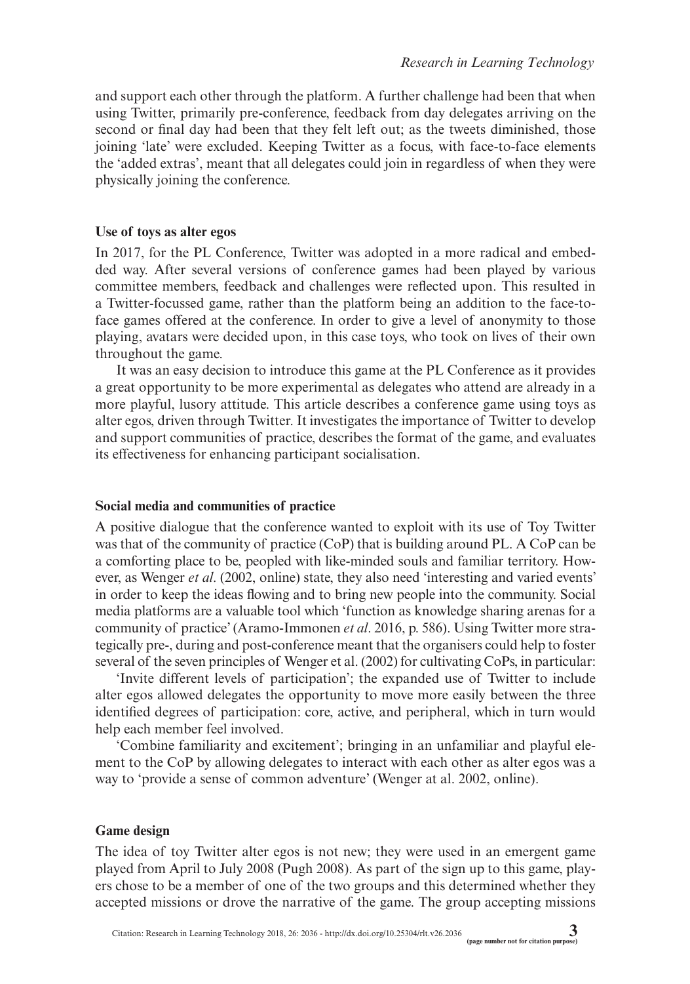and support each other through the platform. A further challenge had been that when using Twitter, primarily pre-conference, feedback from day delegates arriving on the second or final day had been that they felt left out; as the tweets diminished, those joining 'late' were excluded. Keeping Twitter as a focus, with face-to-face elements the 'added extras', meant that all delegates could join in regardless of when they were physically joining the conference.

#### **Use of toys as alter egos**

In 2017, for the PL Conference, Twitter was adopted in a more radical and embedded way. After several versions of conference games had been played by various committee members, feedback and challenges were reflected upon. This resulted in a Twitter-focussed game, rather than the platform being an addition to the face-toface games offered at the conference. In order to give a level of anonymity to those playing, avatars were decided upon, in this case toys, who took on lives of their own throughout the game.

It was an easy decision to introduce this game at the PL Conference as it provides a great opportunity to be more experimental as delegates who attend are already in a more playful, lusory attitude. This article describes a conference game using toys as alter egos, driven through Twitter. It investigates the importance of Twitter to develop and support communities of practice, describes the format of the game, and evaluates its effectiveness for enhancing participant socialisation.

## **Social media and communities of practice**

A positive dialogue that the conference wanted to exploit with its use of Toy Twitter was that of the community of practice (CoP) that is building around PL. A CoP can be a comforting place to be, peopled with like-minded souls and familiar territory. However, as Wenger *et al*. (2002, online) state, they also need 'interesting and varied events' in order to keep the ideas flowing and to bring new people into the community. Social media platforms are a valuable tool which 'function as knowledge sharing arenas for a community of practice' (Aramo-Immonen *et al*. 2016, p. 586). Using Twitter more strategically pre-, during and post-conference meant that the organisers could help to foster several of the seven principles of Wenger et al. (2002) for cultivating CoPs, in particular:

'Invite different levels of participation'; the expanded use of Twitter to include alter egos allowed delegates the opportunity to move more easily between the three identified degrees of participation: core, active, and peripheral, which in turn would help each member feel involved.

'Combine familiarity and excitement'; bringing in an unfamiliar and playful element to the CoP by allowing delegates to interact with each other as alter egos was a way to 'provide a sense of common adventure' (Wenger at al. 2002, online).

## **Game design**

The idea of toy Twitter alter egos is not new; they were used in an emergent game played from April to July 2008 (Pugh 2008). As part of the sign up to this game, players chose to be a member of one of the two groups and this determined whether they accepted missions or drove the narrative of the game. The group accepting missions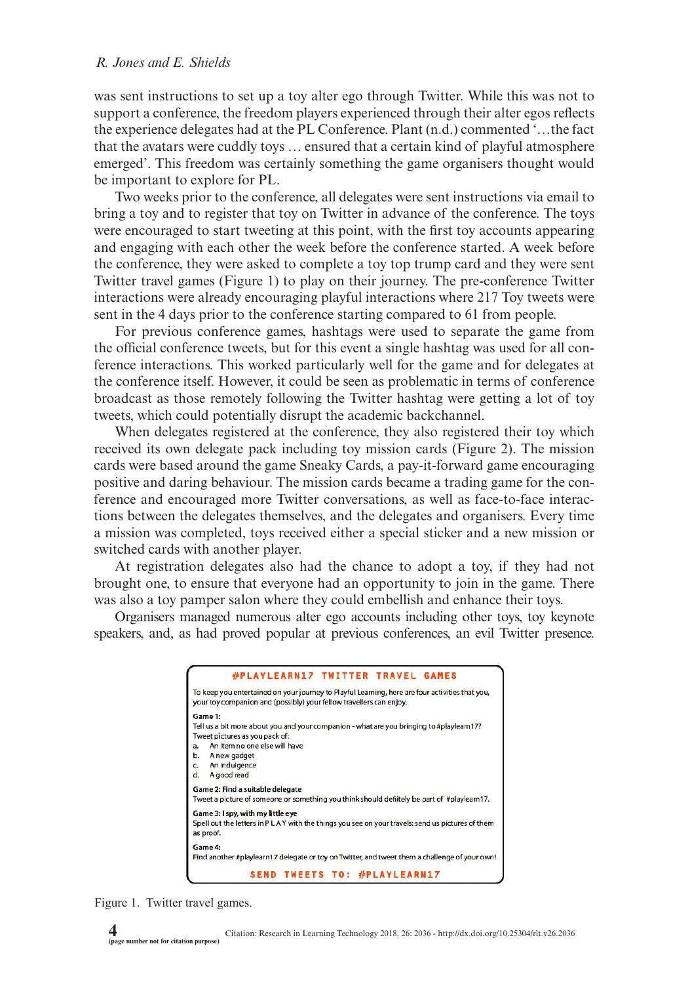was sent instructions to set up a toy alter ego through Twitter. While this was not to support a conference, the freedom players experienced through their alter egos reflects the experience delegates had at the PL Conference. Plant (n.d.) commented '…the fact that the avatars were cuddly toys … ensured that a certain kind of playful atmosphere emerged'. This freedom was certainly something the game organisers thought would be important to explore for PL.

Two weeks prior to the conference, all delegates were sent instructions via email to bring a toy and to register that toy on Twitter in advance of the conference. The toys were encouraged to start tweeting at this point, with the first toy accounts appearing and engaging with each other the week before the conference started. A week before the conference, they were asked to complete a toy top trump card and they were sent Twitter travel games (Figure 1) to play on their journey. The pre-conference Twitter interactions were already encouraging playful interactions where 217 Toy tweets were sent in the 4 days prior to the conference starting compared to 61 from people.

For previous conference games, hashtags were used to separate the game from the official conference tweets, but for this event a single hashtag was used for all conference interactions. This worked particularly well for the game and for delegates at the conference itself. However, it could be seen as problematic in terms of conference broadcast as those remotely following the Twitter hashtag were getting a lot of toy tweets, which could potentially disrupt the academic backchannel.

When delegates registered at the conference, they also registered their toy which received its own delegate pack including toy mission cards (Figure 2). The mission cards were based around the game Sneaky Cards, a pay-it-forward game encouraging positive and daring behaviour. The mission cards became a trading game for the conference and encouraged more Twitter conversations, as well as face-to-face interactions between the delegates themselves, and the delegates and organisers. Every time a mission was completed, toys received either a special sticker and a new mission or switched cards with another player.

At registration delegates also had the chance to adopt a toy, if they had not brought one, to ensure that everyone had an opportunity to join in the game. There was also a toy pamper salon where they could embellish and enhance their toys.

Organisers managed numerous alter ego accounts including other toys, toy keynote speakers, and, as had proved popular at previous conferences, an evil Twitter presence.



Figure 1. Twitter travel games.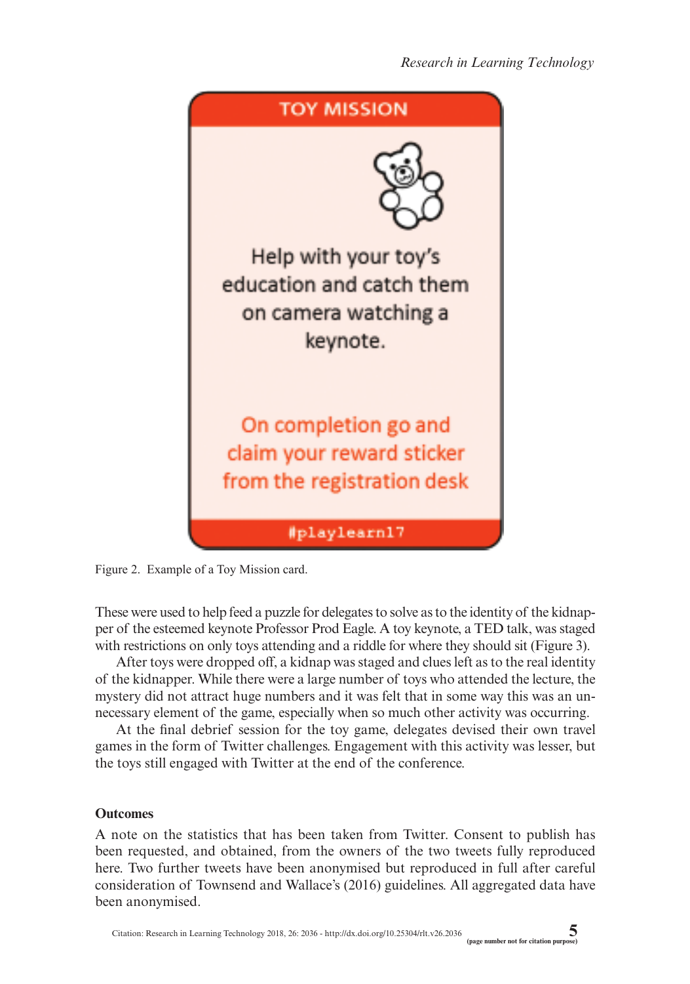

Figure 2. Example of a Toy Mission card.

These were used to help feed a puzzle for delegates to solve as to the identity of the kidnapper of the esteemed keynote Professor Prod Eagle. A toy keynote, a TED talk, was staged with restrictions on only toys attending and a riddle for where they should sit (Figure 3).

After toys were dropped off, a kidnap was staged and clues left as to the real identity of the kidnapper. While there were a large number of toys who attended the lecture, the mystery did not attract huge numbers and it was felt that in some way this was an unnecessary element of the game, especially when so much other activity was occurring.

At the final debrief session for the toy game, delegates devised their own travel games in the form of Twitter challenges. Engagement with this activity was lesser, but the toys still engaged with Twitter at the end of the conference.

#### **Outcomes**

A note on the statistics that has been taken from Twitter. Consent to publish has been requested, and obtained, from the owners of the two tweets fully reproduced here. Two further tweets have been anonymised but reproduced in full after careful consideration of Townsend and Wallace's (2016) guidelines. All aggregated data have been anonymised.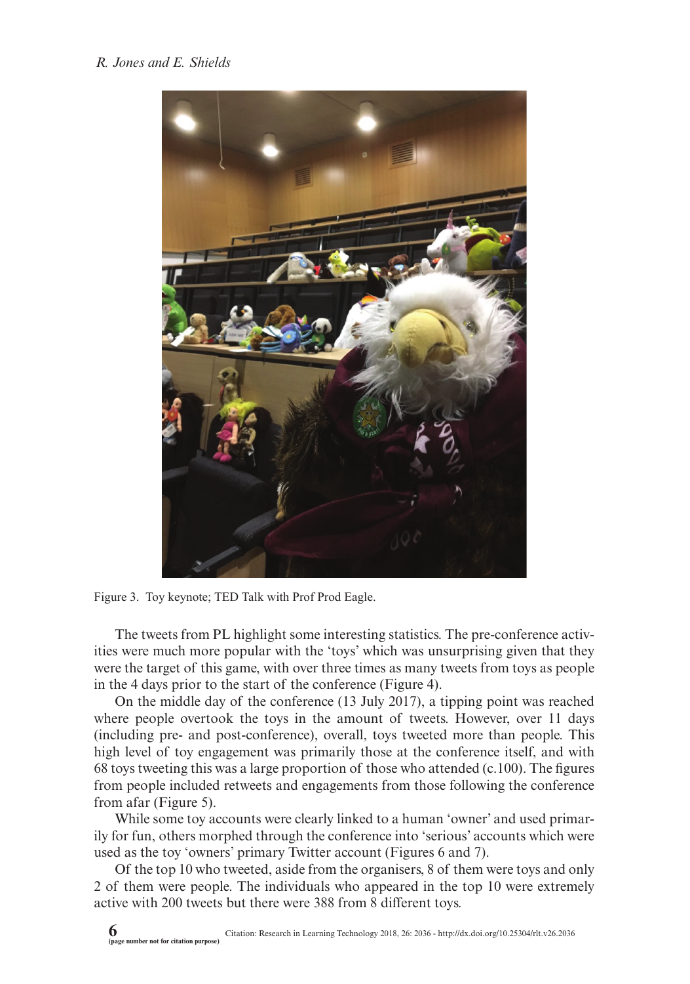

Figure 3. Toy keynote; TED Talk with Prof Prod Eagle.

The tweets from PL highlight some interesting statistics. The pre-conference activities were much more popular with the 'toys' which was unsurprising given that they were the target of this game, with over three times as many tweets from toys as people in the 4 days prior to the start of the conference (Figure 4).

On the middle day of the conference (13 July 2017), a tipping point was reached where people overtook the toys in the amount of tweets. However, over 11 days (including pre- and post-conference), overall, toys tweeted more than people. This high level of toy engagement was primarily those at the conference itself, and with 68 toys tweeting this was a large proportion of those who attended  $(c.100)$ . The figures from people included retweets and engagements from those following the conference from afar (Figure 5).

While some toy accounts were clearly linked to a human 'owner' and used primarily for fun, others morphed through the conference into 'serious' accounts which were used as the toy 'owners' primary Twitter account (Figures 6 and 7).

Of the top 10 who tweeted, aside from the organisers, 8 of them were toys and only 2 of them were people. The individuals who appeared in the top 10 were extremely active with 200 tweets but there were 388 from 8 different toys.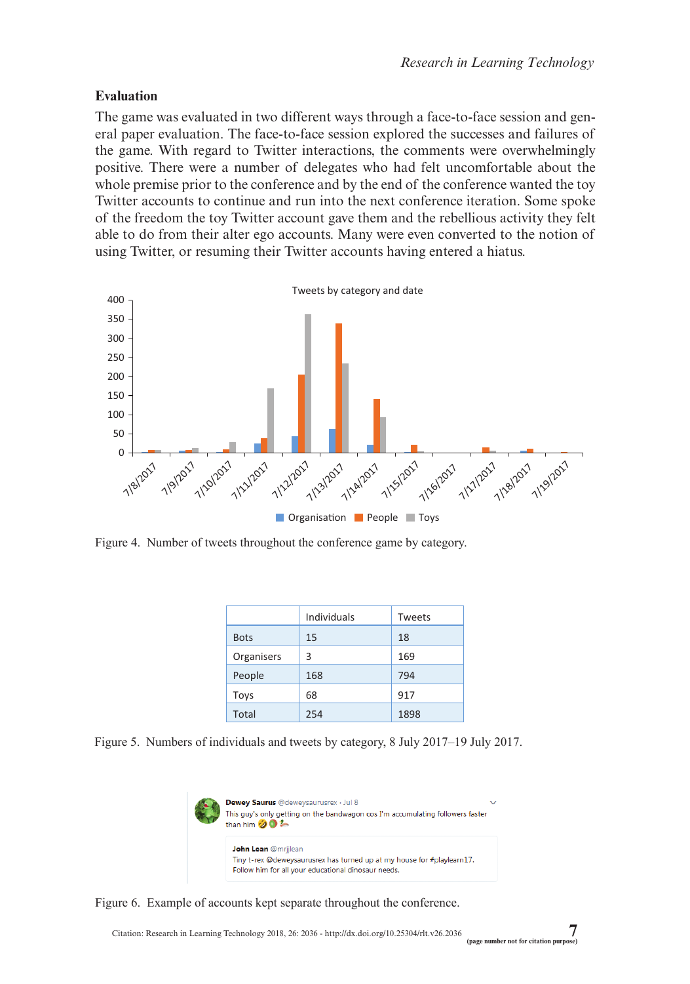## **Evaluation**

The game was evaluated in two different ways through a face-to-face session and general paper evaluation. The face-to-face session explored the successes and failures of the game. With regard to Twitter interactions, the comments were overwhelmingly positive. There were a number of delegates who had felt uncomfortable about the whole premise prior to the conference and by the end of the conference wanted the toy Twitter accounts to continue and run into the next conference iteration. Some spoke of the freedom the toy Twitter account gave them and the rebellious activity they felt able to do from their alter ego accounts. Many were even converted to the notion of using Twitter, or resuming their Twitter accounts having entered a hiatus.



Figure 4. Number of tweets throughout the conference game by category.

|             | Individuals | Tweets |
|-------------|-------------|--------|
| <b>Bots</b> | 15          | 18     |
| Organisers  | 3           | 169    |
| People      | 168         | 794    |
| Toys        | 68          | 917    |
| Total       | 254         | 1898   |

Figure 5. Numbers of individuals and tweets by category, 8 July 2017–19 July 2017.



Figure 6. Example of accounts kept separate throughout the conference.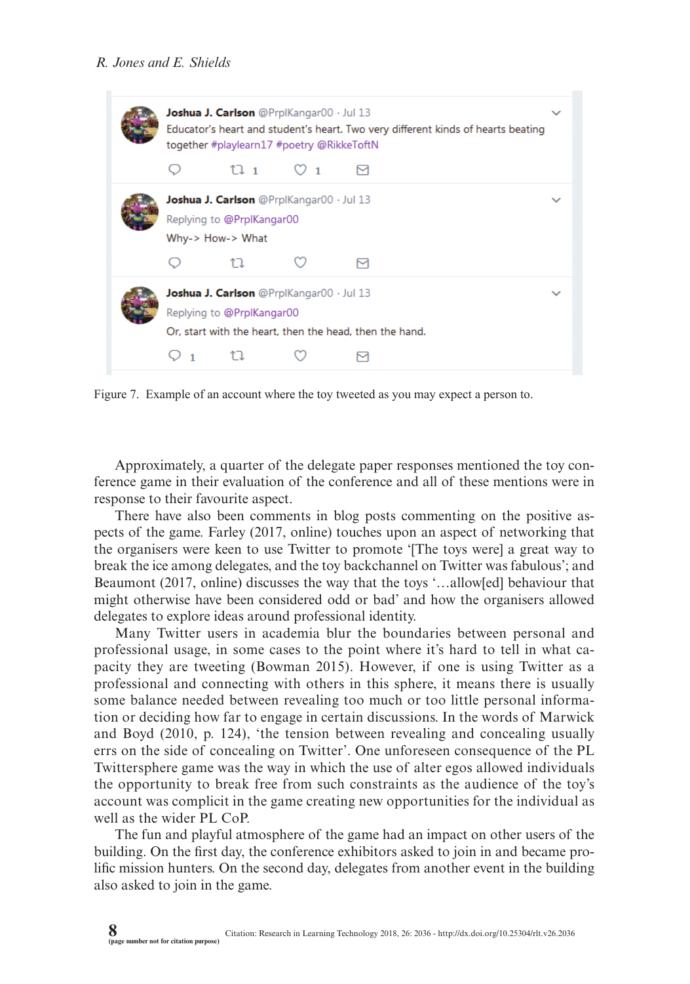| Joshua J. Carlson @PrplKangar00 · Jul 13<br>Educator's heart and student's heart. Two very different kinds of hearts beating<br>together #playlearn17 #poetry @RikkeToftN |                                                                                                                                  |  |  |  |  |  |
|---------------------------------------------------------------------------------------------------------------------------------------------------------------------------|----------------------------------------------------------------------------------------------------------------------------------|--|--|--|--|--|
|                                                                                                                                                                           | 111                                                                                                                              |  |  |  |  |  |
|                                                                                                                                                                           | Joshua J. Carlson @PrplKangar00 · Jul 13<br>Replying to @PrplKangar00<br>Why-> How-> What                                        |  |  |  |  |  |
|                                                                                                                                                                           |                                                                                                                                  |  |  |  |  |  |
|                                                                                                                                                                           | Joshua J. Carlson @PrplKangar00 · Jul 13<br>Replying to @PrplKangar00<br>Or, start with the heart, then the head, then the hand. |  |  |  |  |  |
|                                                                                                                                                                           |                                                                                                                                  |  |  |  |  |  |

Figure 7. Example of an account where the toy tweeted as you may expect a person to.

Approximately, a quarter of the delegate paper responses mentioned the toy conference game in their evaluation of the conference and all of these mentions were in response to their favourite aspect.

There have also been comments in blog posts commenting on the positive aspects of the game. Farley (2017, online) touches upon an aspect of networking that the organisers were keen to use Twitter to promote '[The toys were] a great way to break the ice among delegates, and the toy backchannel on Twitter was fabulous'; and Beaumont (2017, online) discusses the way that the toys '…allow[ed] behaviour that might otherwise have been considered odd or bad' and how the organisers allowed delegates to explore ideas around professional identity.

Many Twitter users in academia blur the boundaries between personal and professional usage, in some cases to the point where it's hard to tell in what capacity they are tweeting (Bowman 2015). However, if one is using Twitter as a professional and connecting with others in this sphere, it means there is usually some balance needed between revealing too much or too little personal information or deciding how far to engage in certain discussions. In the words of Marwick and Boyd (2010, p. 124), 'the tension between revealing and concealing usually errs on the side of concealing on Twitter'. One unforeseen consequence of the PL Twittersphere game was the way in which the use of alter egos allowed individuals the opportunity to break free from such constraints as the audience of the toy's account was complicit in the game creating new opportunities for the individual as well as the wider PL CoP.

The fun and playful atmosphere of the game had an impact on other users of the building. On the first day, the conference exhibitors asked to join in and became prolific mission hunters. On the second day, delegates from another event in the building also asked to join in the game.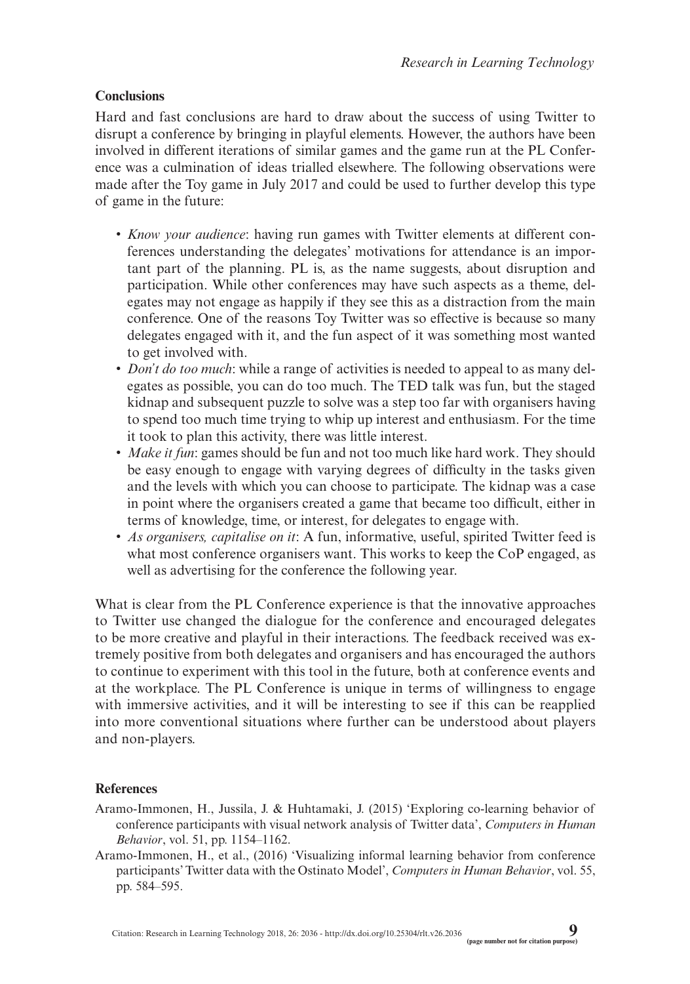## **Conclusions**

Hard and fast conclusions are hard to draw about the success of using Twitter to disrupt a conference by bringing in playful elements. However, the authors have been involved in different iterations of similar games and the game run at the PL Conference was a culmination of ideas trialled elsewhere. The following observations were made after the Toy game in July 2017 and could be used to further develop this type of game in the future:

- • *Know your audience*: having run games with Twitter elements at different conferences understanding the delegates' motivations for attendance is an important part of the planning. PL is, as the name suggests, about disruption and participation. While other conferences may have such aspects as a theme, delegates may not engage as happily if they see this as a distraction from the main conference. One of the reasons Toy Twitter was so effective is because so many delegates engaged with it, and the fun aspect of it was something most wanted to get involved with.
- *Don't do too much*: while a range of activities is needed to appeal to as many delegates as possible, you can do too much. The TED talk was fun, but the staged kidnap and subsequent puzzle to solve was a step too far with organisers having to spend too much time trying to whip up interest and enthusiasm. For the time it took to plan this activity, there was little interest.
- *Make it fun*: games should be fun and not too much like hard work. They should be easy enough to engage with varying degrees of difficulty in the tasks given and the levels with which you can choose to participate. The kidnap was a case in point where the organisers created a game that became too difficult, either in terms of knowledge, time, or interest, for delegates to engage with.
- *As organisers, capitalise on it*: A fun, informative, useful, spirited Twitter feed is what most conference organisers want. This works to keep the CoP engaged, as well as advertising for the conference the following year.

What is clear from the PL Conference experience is that the innovative approaches to Twitter use changed the dialogue for the conference and encouraged delegates to be more creative and playful in their interactions. The feedback received was extremely positive from both delegates and organisers and has encouraged the authors to continue to experiment with this tool in the future, both at conference events and at the workplace. The PL Conference is unique in terms of willingness to engage with immersive activities, and it will be interesting to see if this can be reapplied into more conventional situations where further can be understood about players and non-players.

#### **References**

- Aramo-Immonen, H., Jussila, J. & Huhtamaki, J. (2015) 'Exploring co-learning behavior of conference participants with visual network analysis of Twitter data', *Computers in Human Behavior*, vol. 51, pp. 1154–1162.
- Aramo-Immonen, H., et al., (2016) 'Visualizing informal learning behavior from conference participants' Twitter data with the Ostinato Model', *Computers in Human Behavior*, vol. 55, pp. 584–595.